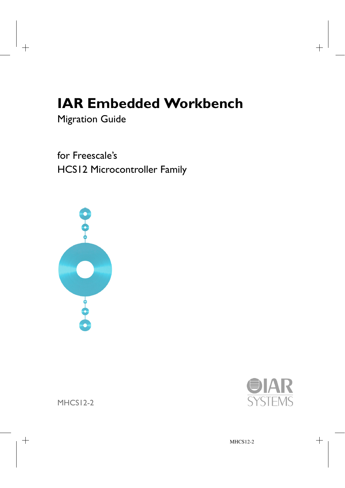# **IAR Embedded Workbench**

Migration Guide

for Freescale's HCS12 Microcontroller Family





MHCS12-2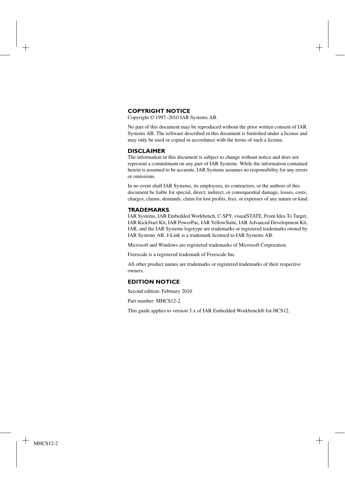### **COPYRIGHT NOTICE**

Copyright © 1997–2010 IAR Systems AB.

No part of this document may be reproduced without the prior written consent of IAR Systems AB. The software described in this document is furnished under a license and may only be used or copied in accordance with the terms of such a license.

### **DISCLAIMER**

The information in this document is subject to change without notice and does not represent a commitment on any part of IAR Systems. While the information contained herein is assumed to be accurate, IAR Systems assumes no responsibility for any errors or omissions.

In no event shall IAR Systems, its employees, its contractors, or the authors of this document be liable for special, direct, indirect, or consequential damage, losses, costs, charges, claims, demands, claim for lost profits, fees, or expenses of any nature or kind.

### **TRADEMARKS**

IAR Systems, IAR Embedded Workbench, C-SPY, visualSTATE, From Idea To Target, IAR KickStart Kit, IAR PowerPac, IAR YellowSuite, IAR Advanced Development Kit, IAR, and the IAR Systems logotype are trademarks or registered trademarks owned by IAR Systems AB. J-Link is a trademark licensed to IAR Systems AB.

Microsoft and Windows are registered trademarks of Microsoft Corporation.

Freescale is a registered trademark of Freescale Inc.

All other product names are trademarks or registered trademarks of their respective owners.

### **EDITION NOTICE**

Second edition: February 2010

Part number: MHCS12-2

This guide applies to version 3.x of IAR Embedded Workbench® for HCS12.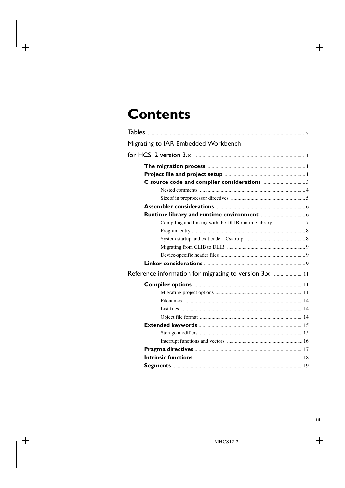## **Contents**

| Migrating to IAR Embedded Workbench                    |
|--------------------------------------------------------|
|                                                        |
|                                                        |
|                                                        |
|                                                        |
|                                                        |
|                                                        |
|                                                        |
|                                                        |
| Compiling and linking with the DLIB runtime library 7  |
|                                                        |
|                                                        |
|                                                        |
|                                                        |
|                                                        |
| Reference information for migrating to version 3.x  11 |
|                                                        |
|                                                        |
|                                                        |
|                                                        |
|                                                        |
|                                                        |
|                                                        |
|                                                        |
|                                                        |
|                                                        |
|                                                        |
|                                                        |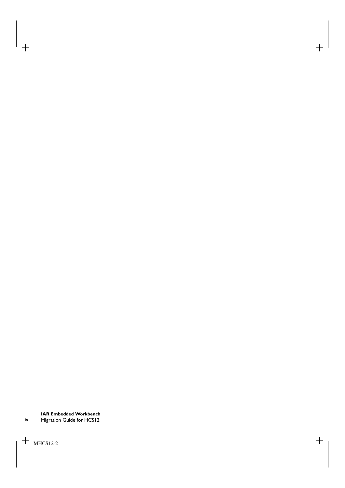**iv**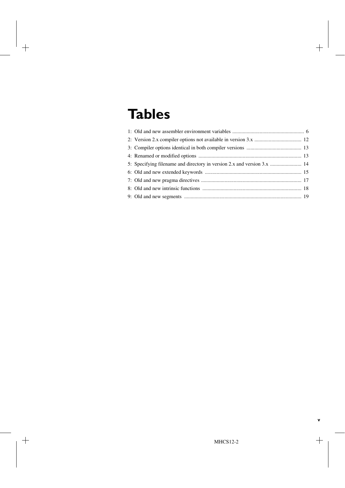## <span id="page-4-0"></span>**Tables**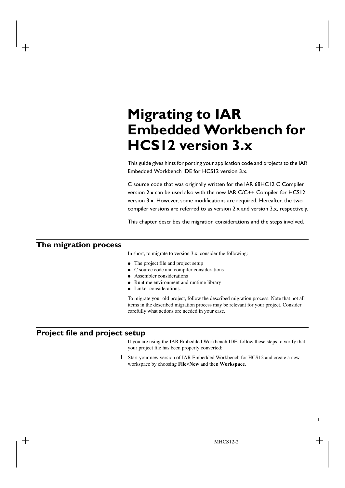# <span id="page-6-0"></span>**Migrating to IAR Embedded Workbench for HCS12 version 3.x**

This guide gives hints for porting your application code and projects to the IAR Embedded Workbench IDE for HCS12 version 3.x.

C source code that was originally written for the IAR 68HC12 C Compiler version 2.x can be used also with the new IAR C/C++ Compiler for HCS12 version 3.x. However, some modifications are required. Hereafter, the two compiler versions are referred to as version 2.x and version 3.x, respectively.

This chapter describes the migration considerations and the steps involved.

## <span id="page-6-1"></span>**The migration process**

In short, to migrate to version 3.x, consider the following:

- The project file and project setup
- C source code and compiler considerations
- Assembler considerations
- Runtime environment and runtime library
- Linker considerations.

To migrate your old project, follow the described migration process. Note that not all items in the described migration process may be relevant for your project. Consider carefully what actions are needed in your case.

## <span id="page-6-2"></span>**Project file and project setup**

If you are using the IAR Embedded Workbench IDE, follow these steps to verify that your project file has been properly converted:

**1** Start your new version of IAR Embedded Workbench for HCS12 and create a new workspace by choosing **File>New** and then **Workspace**.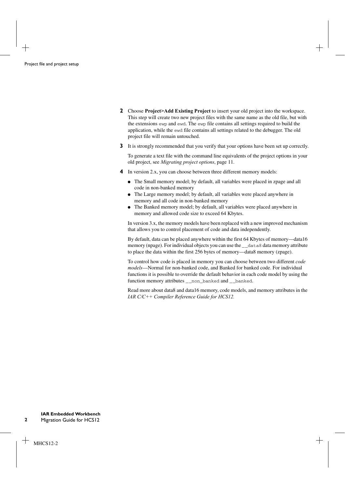- **2** Choose **Project>Add Existing Project** to insert your old project into the workspace. This step will create two new project files with the same name as the old file, but with the extensions ewp and ewd. The ewp file contains all settings required to build the application, while the ewd file contains all settings related to the debugger. The old project file will remain untouched.
- **3** It is strongly recommended that you verify that your options have been set up correctly.

To generate a text file with the command line equivalents of the project options in your old project, see *[Migrating project options](#page-16-3)*, page 11.

- **4** In version 2.x, you can choose between three different memory models:
	- The Small memory model; by default, all variables were placed in zpage and all code in non-banked memory
	- The Large memory model; by default, all variables were placed anywhere in memory and all code in non-banked memory
	- The Banked memory model; by default, all variables were placed anywhere in memory and allowed code size to exceed 64 Kbytes.

In version 3.x, the memory models have been replaced with a new improved mechanism that allows you to control placement of code and data independently.

By default, data can be placed anywhere within the first 64 Kbytes of memory—data16 memory (npage). For individual objects you can use the  $\_\text{data8}$  data memory attribute to place the data within the first 256 bytes of memory—data8 memory (zpage).

To control how code is placed in memory you can choose between two different *code models*—Normal for non-banked code, and Banked for banked code. For individual functions it is possible to override the default behavior in each code model by using the function memory attributes \_\_non\_banked and \_\_banked.

Read more about data8 and data16 memory, code models, and memory attributes in the *IAR C/C++ Compiler Reference Guide for HCS12.*

**2**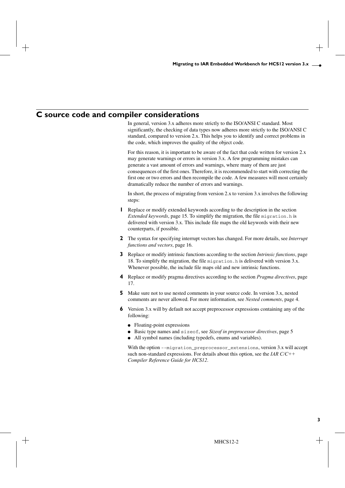## <span id="page-8-0"></span>**C source code and compiler considerations**

In general, version 3.x adheres more strictly to the ISO/ANSI C standard. Most significantly, the checking of data types now adheres more strictly to the ISO/ANSI C standard, compared to version 2.x. This helps you to identify and correct problems in the code, which improves the quality of the object code.

For this reason, it is important to be aware of the fact that code written for version 2.x may generate warnings or errors in version 3.x. A few programming mistakes can generate a vast amount of errors and warnings, where many of them are just consequences of the first ones. Therefore, it is recommended to start with correcting the first one or two errors and then recompile the code. A few measures will most certainly dramatically reduce the number of errors and warnings.

In short, the process of migrating from version 2.x to version 3.x involves the following steps:

- **1** Replace or modify extended keywords according to the description in the section *[Extended keywords](#page-20-3)*, page 15. To simplify the migration, the file migration.h is delivered with version 3.x. This include file maps the old keywords with their new counterparts, if possible.
- **2** The syntax for specifying interrupt vectors has changed. For more details, see *[Interrupt](#page-21-1)  [functions and vectors](#page-21-1)*, page 16.
- **3** Replace or modify intrinsic functions according to the section *[Intrinsic functions](#page-23-2)*, page [18.](#page-23-2) To simplify the migration, the file migration.h is delivered with version 3.x. Whenever possible, the include file maps old and new intrinsic functions.
- **4** Replace or modify pragma directives according to the section *[Pragma directives](#page-22-2)*, page [17.](#page-22-2)
- **5** Make sure not to use nested comments in your source code. In version 3.x, nested comments are never allowed. For more information, see *[Nested comments](#page-9-0)*, page 4.
- **6** Version 3.x will by default not accept preprocessor expressions containing any of the following:
	- Floating-point expressions
	- Basic type names and sizeof, see *[Sizeof in preprocessor directives](#page-10-0)*, page 5
	- All symbol names (including typedefs, enums and variables).

With the option --migration\_preprocessor\_extensions, version 3.x will accept such non-standard expressions. For details about this option, see the *IAR C/C++ Compiler Reference Guide for HCS12*.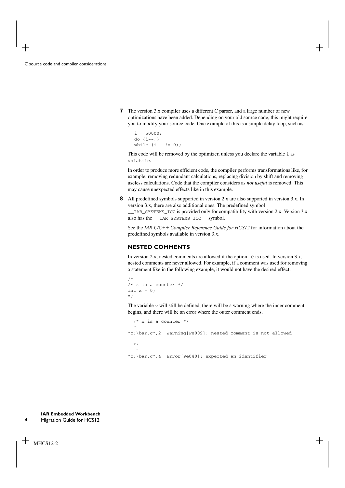**7** The version 3.x compiler uses a different C parser, and a large number of new optimizations have been added. Depending on your old source code, this might require you to modify your source code. One example of this is a simple delay loop, such as:

```
i = 50000;
do \{i--; \}while (i-- != 0);
```
This code will be removed by the optimizer, unless you declare the variable i as volatile.

In order to produce more efficient code, the compiler performs transformations like, for example, removing redundant calculations, replacing division by shift and removing useless calculations. Code that the compiler considers as *not useful* is removed. This may cause unexpected effects like in this example.

**8** All predefined symbols supported in version 2.x are also supported in version 3.x. In version 3.x, there are also additional ones. The predefined symbol \_\_IAR\_SYSTEMS\_ICC is provided only for compatibility with version 2.x. Version 3.x also has the \_\_IAR\_SYSTEMS\_ICC\_\_ symbol.

See the *IAR C/C++ Compiler Reference Guide for HCS12* for information about the predefined symbols available in version 3.x.

### <span id="page-9-0"></span>**NESTED COMMENTS**

In version 2.x, nested comments are allowed if the option  $-c$  is used. In version 3.x, nested comments are never allowed. For example, if a comment was used for removing a statement like in the following example, it would not have the desired effect.

```
/*
/* x is a counter */int x = 0;
*/
```
The variable  $x$  will still be defined, there will be a warning where the inner comment begins, and there will be an error where the outer comment ends.

```
/* x is a counter */\sim"c:\bar.c",2 Warning[Pe009]: nested comment is not allowed
   */
\sim"c:\bar.c",4 Error[Pe040]: expected an identifier
```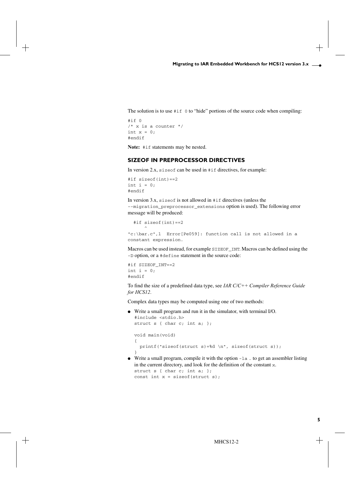The solution is to use  $\#\text{if } \circ$  to "hide" portions of the source code when compiling:

```
#i f 0/* x is a counter */int x = 0;
#endif
```
**Note:** #if statements may be nested.

### <span id="page-10-0"></span>**SIZEOF IN PREPROCESSOR DIRECTIVES**

In version 2.x, sizeof can be used in #if directives, for example:

```
#if sizeof(int)==2
int i = 0;
#endif
```
In version 3.x, sizeof is not allowed in #if directives (unless the --migration\_preprocessor\_extensions option is used). The following error message will be produced:

```
 #if sizeof(int)==2
\sim \sim"c:\bar.c",1 Error[Pe059]: function call is not allowed in a 
constant expression.
```
Macros can be used instead, for example SIZEOF INT. Macros can be defined using the -D option, or a #define statement in the source code:

```
#if SIZEOF_INT==2
int i = 0;
#endif
```
To find the size of a predefined data type, see *IAR C/C++ Compiler Reference Guide for HCS12*.

Complex data types may be computed using one of two methods:

● Write a small program and run it in the simulator, with terminal I/O. #include <stdio.h>

```
struct s { char c; int a; };
void main(void)
{
   printf("sizeof(struct s)=%d \n", sizeof(struct s));
}
```
• Write a small program, compile it with the option  $-1a$ . to get an assembler listing in the current directory, and look for the definition of the constant x.

```
struct s { char c; int a; };
const int x = sizeof(struct s);
```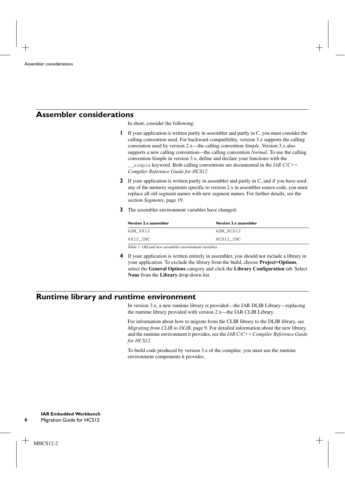## <span id="page-11-0"></span>**Assembler considerations**

In short, consider the following:

- **1** If your application is written partly in assembler and partly in C, you must consider the calling convention used. For backward compatibility, version 3.x supports the calling convention used by version 2.x—the calling convention *Simple*. Version 3.x also supports a new calling convention—the calling convention *Normal*. To use the calling convention Simple in version 3.x, define and declare your functions with the  $\sin(2\theta)$  keyword. Both calling conventions are documented in the *IAR C/C++ Compiler Reference Guide for HCS12*.
- **2** If your application is written partly in assembler and partly in C, and if you have used any of the memory segments specific to version 2.x in assembler source code, you must replace all old segment names with new segment names. For further details, see the section *[Segments](#page-24-2)*, page 19.
- **3** The assembler environment variables have changed:

| Version 2.x assembler | Version 3.x assembler |  |
|-----------------------|-----------------------|--|
| ASM 6812              | ASM HCS12             |  |
| 6812 INC              | HCS12 INC             |  |
|                       |                       |  |

<span id="page-11-2"></span>*Table 1: Old and new assembler environment variables* 

**4** If your application is written entirely in assembler, you should not include a library in your application. To exclude the library from the build, choose **Project>Options**, select the **General Options** category and click the **Library Configuration** tab. Select **None** from the **Library** drop-down list.

## <span id="page-11-1"></span>**Runtime library and runtime environment**

In version 3.x, a new runtime library is provided—the IAR DLIB Library—replacing the runtime library provided with version 2.x—the IAR CLIB Library.

For information about how to migrate from the CLIB library to the DLIB library, see *[Migrating from CLIB to DLIB](#page-14-0)*, page 9. For detailed information about the new library, and the runtime environment it provides, see the *IAR C/C++ Compiler Reference Guide for HCS12*.

To build code produced by version 3.x of the compiler, you must use the runtime environment components it provides.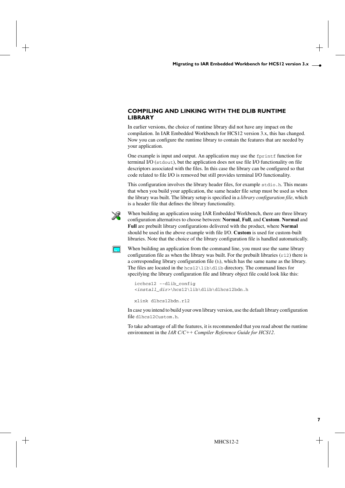### <span id="page-12-0"></span>**COMPILING AND LINKING WITH THE DLIB RUNTIME LIBRARY**

In earlier versions, the choice of runtime library did not have any impact on the compilation. In IAR Embedded Workbench for HCS12 version 3.x, this has changed. Now you can configure the runtime library to contain the features that are needed by your application.

One example is input and output. An application may use the  $f$ print function for terminal I/O (stdout), but the application does not use file I/O functionality on file descriptors associated with the files. In this case the library can be configured so that code related to file I/O is removed but still provides terminal I/O functionality.

This configuration involves the library header files, for example stdio.h. This means that when you build your application, the same header file setup must be used as when the library was built. The library setup is specified in a *library configuration file*, which is a header file that defines the library functionality.



When building an application using IAR Embedded Workbench, there are three library configuration alternatives to choose between: **Normal**, **Full**, and **Custom**. **Normal** and **Full** are prebuilt library configurations delivered with the product, where **Normal** should be used in the above example with file I/O. **Custom** is used for custom-built libraries. Note that the choice of the library configuration file is handled automatically.



When building an application from the command line, you must use the same library configuration file as when the library was built. For the prebuilt libraries ( $r12$ ) there is a corresponding library configuration file (h), which has the same name as the library. The files are located in the hcs12\lib\dlib directory. The command lines for specifying the library configuration file and library object file could look like this:

```
icchcs12 --dlib_config 
<install_dir>\hcs12\lib\dlib\dlhcs12bdn.h
```

```
xlink dlhcs12bdn.r12
```
In case you intend to build your own library version, use the default library configuration file dlhcs12Custom.h.

To take advantage of all the features, it is recommended that you read about the runtime environment in the *IAR C/C++ Compiler Reference Guide for HCS12*.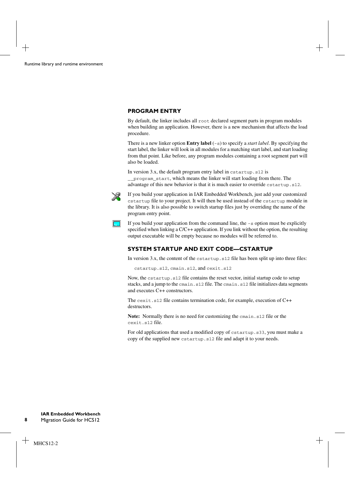### <span id="page-13-0"></span>**PROGRAM ENTRY**

By default, the linker includes all root declared segment parts in program modules when building an application. However, there is a new mechanism that affects the load procedure.

There is a new linker option **Entry label** (-s) to specify a *start label*. By specifying the start label, the linker will look in all modules for a matching start label, and start loading from that point. Like before, any program modules containing a root segment part will also be loaded.

In version 3.x, the default program entry label in cstartup.s12 is \_\_program\_start, which means the linker will start loading from there. The advantage of this new behavior is that it is much easier to override cstartup.s12.



If you build your application in IAR Embedded Workbench, just add your customized cstartup file to your project. It will then be used instead of the cstartup module in the library. It is also possible to switch startup files just by overriding the name of the program entry point.



If you build your application from the command line, the  $-$ s option must be explicitly specified when linking a C/C++ application. If you link without the option, the resulting output executable will be empty because no modules will be referred to.

### <span id="page-13-1"></span>**SYSTEM STARTUP AND EXIT CODE—CSTARTUP**

In version 3.x, the content of the cstartup.s12 file has been split up into three files:

cstartup.s12, cmain.s12, and cexit.s12

Now, the cstartup.s12 file contains the reset vector, initial startup code to setup stacks, and a jump to the cmain.s12 file. The cmain.s12 file initializes data segments and executes C++ constructors.

The cexit.s12 file contains termination code, for example, execution of C++ destructors.

**Note:** Normally there is no need for customizing the cmain.s12 file or the cexit.s12 file.

For old applications that used a modified copy of cstartup.s33, you must make a copy of the supplied new cstartup.s12 file and adapt it to your needs.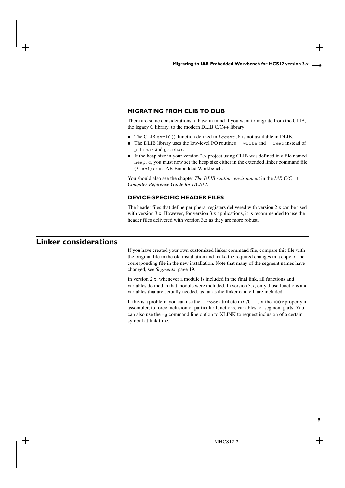### <span id="page-14-0"></span>**MIGRATING FROM CLIB TO DLIB**

There are some considerations to have in mind if you want to migrate from the CLIB, the legacy C library, to the modern DLIB C/C++ library:

- The CLIB exp10() function defined in iccext.h is not available in DLIB.
- The DLIB library uses the low-level I/O routines \_\_write and \_\_read instead of putchar and getchar.
- If the heap size in your version 2.x project using CLIB was defined in a file named heap.c, you must now set the heap size either in the extended linker command file (\*.xcl) or in IAR Embedded Workbench.

You should also see the chapter *The DLIB runtime environment* in the *IAR C/C++ Compiler Reference Guide for HCS12*.

### <span id="page-14-1"></span>**DEVICE-SPECIFIC HEADER FILES**

The header files that define peripheral registers delivered with version 2.x can be used with version 3.x. However, for version 3.x applications, it is recommended to use the header files delivered with version 3.x as they are more robust.

## <span id="page-14-2"></span>**Linker considerations**

If you have created your own customized linker command file, compare this file with the original file in the old installation and make the required changes in a copy of the corresponding file in the new installation. Note that many of the segment names have changed, see *[Segments](#page-24-2)*, page 19.

In version 2.x, whenever a module is included in the final link, all functions and variables defined in that module were included. In version 3.x, only those functions and variables that are actually needed, as far as the linker can tell, are included.

If this is a problem, you can use the  $\text{\_root}$  attribute in  $C/C++$ , or the ROOT property in assembler, to force inclusion of particular functions, variables, or segment parts. You can also use the  $-g$  command line option to XLINK to request inclusion of a certain symbol at link time.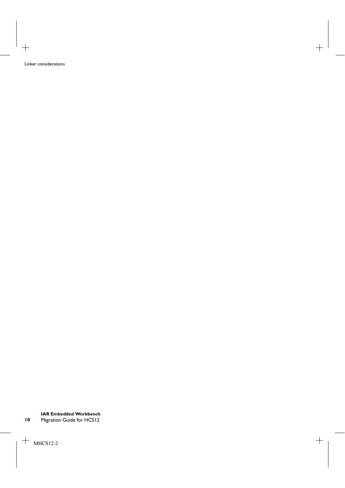Linker considerations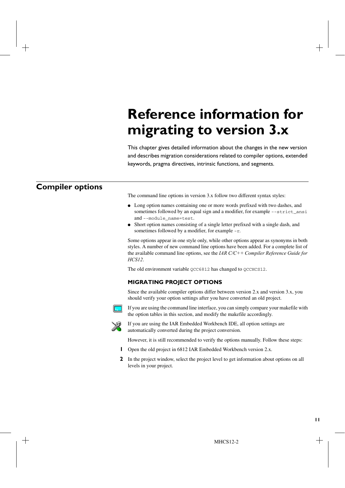# <span id="page-16-0"></span>**Reference information for migrating to version 3.x**

This chapter gives detailed information about the changes in the new version and describes migration considerations related to compiler options, extended keywords, pragma directives, intrinsic functions, and segments.

## <span id="page-16-1"></span>**Compiler options**

The command line options in version 3.x follow two different syntax styles:

- Long option names containing one or more words prefixed with two dashes, and sometimes followed by an equal sign and a modifier, for example --strict\_ansi and --module\_name=test.
- Short option names consisting of a single letter prefixed with a single dash, and sometimes followed by a modifier, for example -r.

Some options appear in one style only, while other options appear as synonyms in both styles. A number of new command line options have been added. For a complete list of the available command line options, see the *IAR C/C++ Compiler Reference Guide for HCS12*.

The old environment variable  $OCC6812$  has changed to  $OCCHCS12$ .

### <span id="page-16-3"></span><span id="page-16-2"></span>**MIGRATING PROJECT OPTIONS**

Since the available compiler options differ between version 2.x and version 3.x, you should verify your option settings after you have converted an old project.



If you are using the command line interface, you can simply compare your makefile with the option tables in this section, and modify the makefile accordingly.



If you are using the IAR Embedded Workbench IDE, all option settings are automatically converted during the project conversion.

However, it is still recommended to verify the options manually. Follow these steps:

- **1** Open the old project in 6812 IAR Embedded Workbench version 2.x.
- **2** In the project window, select the project level to get information about options on all levels in your project.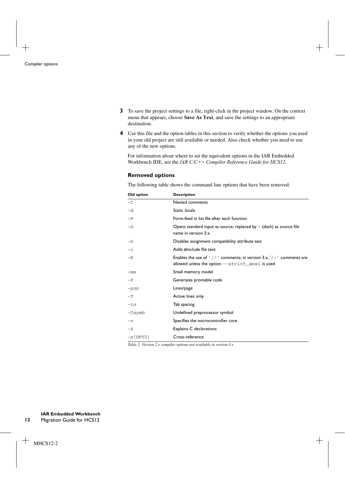- **3** To save the project settings to a file, right-click in the project window. On the context menu that appears, choose **Save As Text**, and save the settings to an appropriate destination.
- **4** Use this file and the option tables in this section to verify whether the options you used in your old project are still available or needed. Also check whether you need to use any of the new options.

For information about where to set the equivalent options in the IAR Embedded Workbench IDE, see the *IAR C/C++ Compiler Reference Guide for HCS12*.

### **Removed options**

The following table shows the command line options that have been removed:

| Old option    | <b>Description</b>                                                                                                           |
|---------------|------------------------------------------------------------------------------------------------------------------------------|
| $-C$          | Nested comments                                                                                                              |
| -d            | Static locals                                                                                                                |
| $-F$          | Form-feed in list file after each function                                                                                   |
| $-G$          | Opens standard input as source; replaced by $-$ (dash) as source file<br>name in version 3.x                                 |
| $-h$          | Disables assignment compatibility attribute test                                                                             |
| $-i$          | Adds #include file text                                                                                                      |
| $-K$          | Enables the use of $'//$ ' comments; in version 3.x, $'//$ ' comments are<br>allowed unless the option --strict_ansi is used |
| $-ms$         | Small memory model                                                                                                           |
| $-P$          | Generates promable code                                                                                                      |
| $-pnn$        | Lines/page                                                                                                                   |
| $-\mathbb{T}$ | Active lines only                                                                                                            |
| $-tn$         | Tab spacing                                                                                                                  |
| -Usymb        | Undefined preprocessor symbol                                                                                                |
| $-v$          | Specifies the microcontroller core                                                                                           |
| $-X$          | Explains C declarations                                                                                                      |
| $-x$ [DFT2]   | Cross-reference                                                                                                              |

<span id="page-17-0"></span>*Table 2: Version 2.x compiler options not available in version 3.x*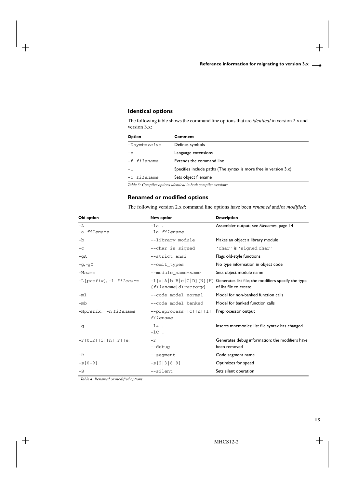### **Identical options**

The following table shows the command line options that are *identical* in version 2.x and version 3.x:

| Option           | Comment                                                             |
|------------------|---------------------------------------------------------------------|
| $-Dsymbol=value$ | Defines symbols                                                     |
| $-e$             | Language extensions                                                 |
| -f filename      | Extends the command line                                            |
| $-$ T            | Specifies include paths (The syntax is more free in version $3.x$ ) |
| $-0$ filename    | Sets object filename                                                |

<span id="page-18-0"></span>*Table 3: Compiler options identical in both compiler versions*

### **Renamed or modified options**

The following version 2.x command line options have been *renamed* and/or *modified*:

| Old option             | <b>New option</b>           | <b>Description</b>                                  |
|------------------------|-----------------------------|-----------------------------------------------------|
| $-\lambda$             | $-1a$ .                     | Assembler output; see Filenames, page 14            |
| -a filename            | -la filename                |                                                     |
| -b                     | --library_module            | Makes an object a library module                    |
| $-c$                   | --char_is_signed            | 'char' is 'signed char'                             |
| $-qA$                  | --strict_ansi               | Flags old-style functions                           |
| $-q$ , $-q$ O          | --omit_types                | No type information in object code                  |
| $-Hname$               | --module_name=name          | Sets object module name                             |
| -L[prefix],-l filename | $-1[a A b B c C D]$ [N] [H] | Generates list file; the modifiers specify the type |
|                        | {filename directory}        | of list file to create                              |
| $-m1$                  | --code_model normal         | Model for non-banked function calls                 |
| $-mb$                  | --code model banked         | Model for banked function calls                     |
| -Nprefix, -n filename  | $--preprocess=[c][n][1]$    | Preprocessor output                                 |
|                        | filename                    |                                                     |
| $-q$                   | $-LA$ .                     | Inserts mnemonics; list file syntax has changed     |
|                        | $-1C$ .                     |                                                     |
| $-r[012][i][n][r][e]$  | $-r$                        | Generates debug information; the modifiers have     |
|                        | --debug                     | been removed                                        |
| $-R$                   | --segment                   | Code segment name                                   |
| $-s[0-9]$              | $-s[2 3 6 9]$               | Optimizes for speed                                 |
| $-S$                   | --silent                    | Sets silent operation                               |

<span id="page-18-1"></span>*Table 4: Renamed or modified options*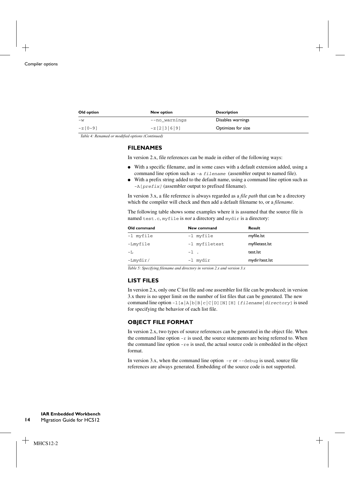| Old option     | New option          | <b>Description</b> |
|----------------|---------------------|--------------------|
| $-W$           | --no_warnings       | Disables warnings  |
| $-z$ [ $0-9$ ] | $-z$ [2] 3   6   9] | Optimizes for size |

*Table 4: Renamed or modified options (Continued)*

### <span id="page-19-0"></span>**FILENAMES**

In version 2.x, file references can be made in either of the following ways:

- With a specific filename, and in some cases with a default extension added, using a command line option such as -a *filename* (assembler output to named file).
- With a prefix string added to the default name, using a command line option such as -A[*prefix]* (assembler output to prefixed filename).

In version 3.x, a file reference is always regarded as a *file path* that can be a directory which the compiler will check and then add a default filename to, or a *filename*.

The following table shows some examples where it is assumed that the source file is named test.c, myfile is *not* a directory and mydir is a directory:

| Old command  | New command   | Result         |
|--------------|---------------|----------------|
| -1 myfile    | -1 myfile     | myfile.lst     |
| -Lmyfile     | -1 myfiletest | myfiletest.lst |
| $-T_{\rm L}$ | $-1$ .        | test.lst       |
| -Lmydir/     | -1 mydir      | mydir/test.lst |

<span id="page-19-3"></span>*Table 5: Specifying filename and directory in version 2.x and version 3.x* 

### <span id="page-19-1"></span>**LIST FILES**

In version 2.x, only one C list file and one assembler list file can be produced; in version 3.x there is no upper limit on the number of list files that can be generated. The new command line option -l[a|A|b|B|c|C|D][N][H] {*filename*|*directory*} is used for specifying the behavior of each list file.

### <span id="page-19-2"></span>**OBJECT FILE FORMAT**

In version 2.x, two types of source references can be generated in the object file. When the command line option  $-r$  is used, the source statements are being referred to. When the command line option -re is used, the actual source code is embedded in the object format.

In version 3.x, when the command line option  $-r$  or  $-\text{delay}$  is used, source file references are always generated. Embedding of the source code is not supported.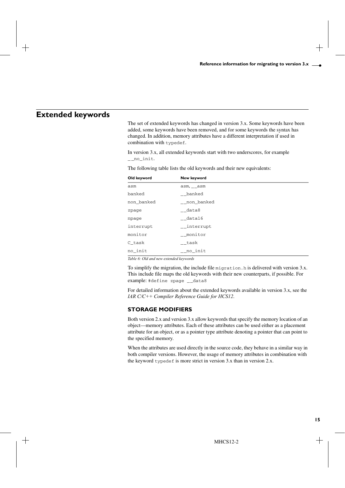### <span id="page-20-3"></span><span id="page-20-0"></span>**Extended keywords**

The set of extended keywords has changed in version 3.x. Some keywords have been added, some keywords have been removed, and for some keywords the syntax has changed. In addition, memory attributes have a different interpretation if used in combination with typedef.

In version 3.x, all extended keywords start with two underscores, for example \_\_no\_init.

| Old keyword | New keyword |
|-------------|-------------|
| asm         | asm, asm    |
| banked      | banked      |
| non_banked  | non_banked  |
| zpage       | data8       |
| npage       | data16      |
| interrupt   | __interrupt |
| monitor     | monitor     |
| C task      | task        |
| no_init     | no_init     |

The following table lists the old keywords and their new equivalents:

<span id="page-20-2"></span>*Table 6: Old and new extended keywords* 

To simplify the migration, the include file  $m$  igration. h is delivered with version 3.x. This include file maps the old keywords with their new counterparts, if possible. For example: #define zpage \_\_data8

For detailed information about the extended keywords available in version 3.x, see the *IAR C/C++ Compiler Reference Guide for HCS12*.

### <span id="page-20-1"></span>**STORAGE MODIFIERS**

Both version 2.x and version 3.x allow keywords that specify the memory location of an object—memory attributes. Each of these attributes can be used either as a placement attribute for an object, or as a pointer type attribute denoting a pointer that can point to the specified memory.

When the attributes are used directly in the source code, they behave in a similar way in both compiler versions. However, the usage of memory attributes in combination with the keyword typedef is more strict in version 3.x than in version 2.x.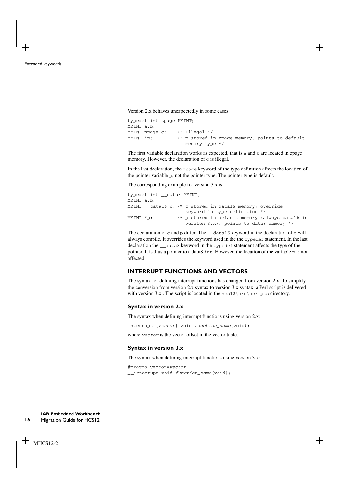Version 2.x behaves unexpectedly in some cases:

```
typedef int zpage MYINT;
MYINT a,b;
MYINT npage c; /* Illegal */
MYINT *_p; \qquad /* p stored in zpage memory, points to default
                     memory type */
```
The first variable declaration works as expected, that is a and b are located in zpage memory. However, the declaration of  $\sigma$  is illegal.

In the last declaration, the zpage keyword of the type definition affects the location of the pointer variable  $p$ , not the pointer type. The pointer type is default.

The corresponding example for version 3.x is:

```
typedef int __data8 MYINT;
MYINT a,b;
MYINT __data16 c; /* c stored in data16 memory; override
                      keyword in type definition */
MYINT *p; \frac{1}{2} /* p stored in default memory (always data16 in
                      version 3.x), points to data8 memory */
```
The declaration of c and p differ. The  $\_\$ data16 keyword in the declaration of c will always compile. It overrides the keyword used in the the typedef statement. In the last declaration the \_\_data8 keyword in the typedef statement affects the type of the pointer. It is thus a pointer to a data8 int. However, the location of the variable  $p$  is not affected.

### <span id="page-21-1"></span><span id="page-21-0"></span>**INTERRUPT FUNCTIONS AND VECTORS**

The syntax for defining interrupt functions has changed from version 2.x. To simplify the conversion from version 2.x syntax to version 3.x syntax, a Perl script is delivered with version  $3.x$ . The script is located in the hcs12\src\scripts directory.

#### **Syntax in version 2.x**

The syntax when defining interrupt functions using version 2.x:

```
interrupt [vector] void function_name(void);
```
where *vector* is the vector offset in the vector table.

#### **Syntax in version 3.x**

The syntax when defining interrupt functions using version 3.x:

#pragma vector=*vector* \_\_interrupt void *function\_name*(void);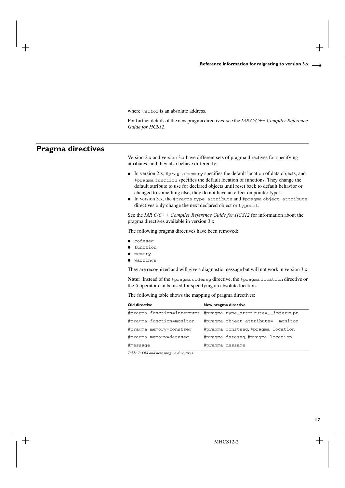where *vector* is an absolute address.

For further details of the new pragma directives, see the *IAR C/C++ Compiler Reference Guide for HCS12*.

## <span id="page-22-2"></span><span id="page-22-0"></span>**Pragma directives**

Version 2.x and version 3.x have different sets of pragma directives for specifying attributes, and they also behave differently:

- In version 2.x, #pragma memory specifies the default location of data objects, and #pragma function specifies the default location of functions. They change the default attribute to use for declared objects until reset back to default behavior or changed to something else; they do not have an effect on pointer types.
- In version 3.x, the #pragma type\_attribute and #pragma object\_attribute directives only change the next declared object or typedef.

See the *IAR C/C++ Compiler Reference Guide for HCS12* for information about the pragma directives available in version 3.x.

The following pragma directives have been removed:

- codeseg
- function
- memory
- warnings

They are recognized and will give a diagnostic message but will not work in version 3.x.

**Note:** Instead of the #pragma codeseg directive, the #pragma location directive or the @ operator can be used for specifying an absolute location.

The following table shows the mapping of pragma directives:

| Old directive            | New pragma directive                                          |
|--------------------------|---------------------------------------------------------------|
|                          | #pragma function=interrupt #pragma type_attribute=__interrupt |
| #pragma function=monitor | #pragma object_attribute=__monitor                            |
| #pragma memory=constseg  | #pragma constseg,#pragma location                             |
| #pragma memory=dataseg   | #pragma dataseg,#pragma location                              |
| #message                 | #pragma message                                               |

<span id="page-22-1"></span>*Table 7: Old and new pragma directives*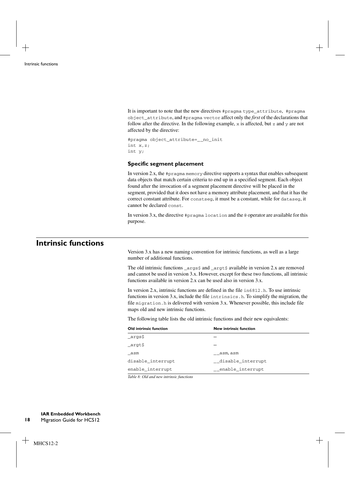It is important to note that the new directives #pragma type\_attribute, #pragma object\_attribute, and #pragma vector affect only the *first* of the declarations that follow after the directive. In the following example,  $x$  is affected, but z and  $y$  are not affected by the directive:

#pragma object\_attribute=\_\_no\_init int x,z; int y;

### **Specific segment placement**

In version 2.x, the #pragma memory directive supports a syntax that enables subsequent data objects that match certain criteria to end up in a specified segment. Each object found after the invocation of a segment placement directive will be placed in the segment, provided that it does not have a memory attribute placement, and that it has the correct constant attribute. For constseg, it must be a constant, while for dataseg, it cannot be declared const.

In version 3.x, the directive  $\#$ pragma location and the  $\theta$  operator are available for this purpose.

## <span id="page-23-2"></span><span id="page-23-0"></span>**Intrinsic functions**

Version 3.x has a new naming convention for intrinsic functions, as well as a large number of additional functions.

The old intrinsic functions  $_{\text{args}}$  and  $_{\text{args}}$  available in version 2.x are removed and cannot be used in version 3.x. However, except for these two functions, all intrinsic functions available in version 2.x can be used also in version 3.x.

In version 2.x, intrinsic functions are defined in the file in6812.h. To use intrinsic functions in version 3.x, include the file intrinsics.h. To simplify the migration, the file migration.h is delivered with version 3.x. Whenever possible, this include file maps old and new intrinsic functions.

The following table lists the old intrinsic functions and their new equivalents:

| <b>Old intrinsic function</b> | <b>New intrinsic function</b> |
|-------------------------------|-------------------------------|
| _args\$                       | --                            |
| _argt\$                       | $- -$                         |
| asm                           | asm, asm                      |
| disable_interrupt             | disable interrupt             |
| enable interrupt              | enable interrupt              |

<span id="page-23-1"></span>*Table 8: Old and new intrinsic functions*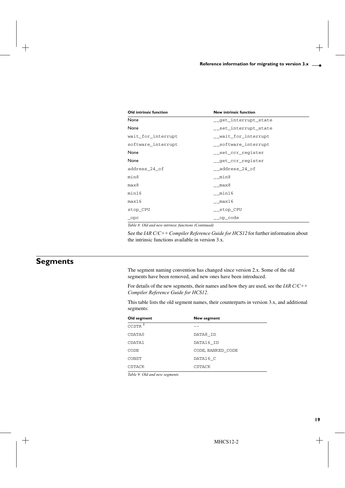| <b>Old intrinsic function</b> | <b>New intrinsic function</b> |  |
|-------------------------------|-------------------------------|--|
| None                          | __get_interrupt_state         |  |
| None                          | __set_interrupt_state         |  |
| wait_for_interrupt            | __wait_for_interrupt          |  |
| software_interrupt            | __software_interrupt          |  |
| None                          | __set_ccr_register            |  |
| None                          | __get_ccr_register            |  |
| address 24 of                 | address 24 of                 |  |
| min8                          | min8                          |  |
| max8                          | max8                          |  |
| min16                         | min16                         |  |
| max16                         | max16                         |  |
| stop_CPU                      | __stop_CPU                    |  |
| $_{\rm -}$ opc                | $\_\$ {op\_code}              |  |

*Table 8: Old and new intrinsic functions (Continued)* 

See the *IAR C/C++ Compiler Reference Guide for HCS12* for further information about the intrinsic functions available in version 3.x.

### <span id="page-24-2"></span><span id="page-24-0"></span>**Segments**

The segment naming convention has changed since version 2.x. Some of the old segments have been removed, and new ones have been introduced.

For details of the new segments, their names and how they are used, see the *IAR C/C++ Compiler Reference Guide for HCS12*.

This table lists the old segment names, their counterparts in version 3.x, and additional segments:

| Old segment  | New segment       |
|--------------|-------------------|
| <b>CCSTR</b> |                   |
| CDATA0       | DATA8_ID          |
| CDATA1       | DATA16 ID         |
| CODE         | CODE, BANKED CODE |
| CONST        | DATA16 C          |
| CSTACK       | CSTACK            |

<span id="page-24-1"></span>*Table 9: Old and new segments*